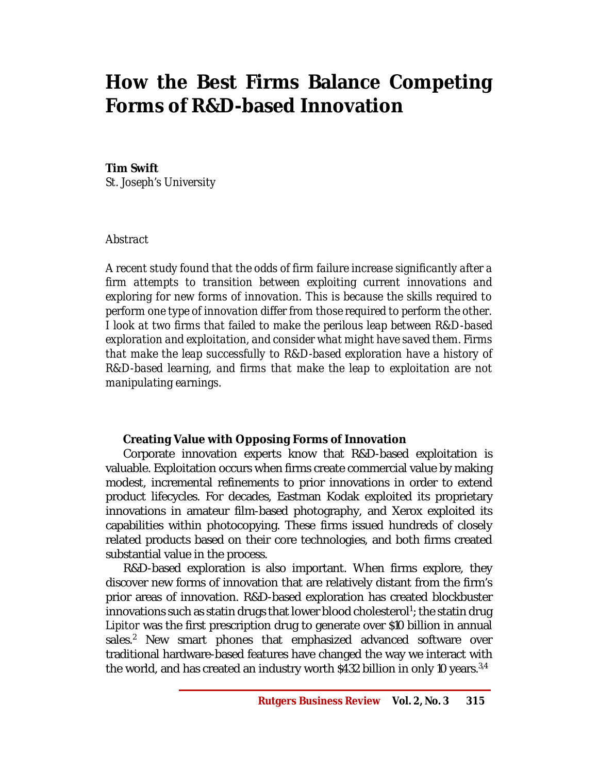# **How the Best Firms Balance Competing Forms of R&D-based Innovation**

## **Tim Swift**

*St. Joseph's University*

## *Abstract*

*A recent study found that the odds of firm failure increase significantly after a firm attempts to transition between exploiting current innovations and exploring for new forms of innovation. This is because the skills required to perform one type of innovation differ from those required to perform the other. I look at two firms that failed to make the perilous leap between R&D-based exploration and exploitation, and consider what might have saved them. Firms that make the leap successfully to R&D-based exploration have a history of R&D-based learning, and firms that make the leap to exploitation are not manipulating earnings.*

# **Creating Value with Opposing Forms of Innovation**

Corporate innovation experts know that R&D-based exploitation is valuable. Exploitation occurs when firms create commercial value by making modest, incremental refinements to prior innovations in order to extend product lifecycles. For decades, Eastman Kodak exploited its proprietary innovations in amateur film-based photography, and Xerox exploited its capabilities within photocopying. These firms issued hundreds of closely related products based on their core technologies, and both firms created substantial value in the process.

R&D-based exploration is also important. When firms explore, they discover new forms of innovation that are relatively distant from the firm's prior areas of innovation. R&D-based exploration has created blockbuster innovations such as statin drugs that lower blood cholesterol $^1$ ; the statin drug *Lipitor* was the first prescription drug to generate over \$10 billion in annual sales.<sup>2</sup> New smart phones that emphasized advanced software over traditional hardware-based features have changed the way we interact with the world, and has created an industry worth \$432 billion in only 10 years.<sup>3,4</sup>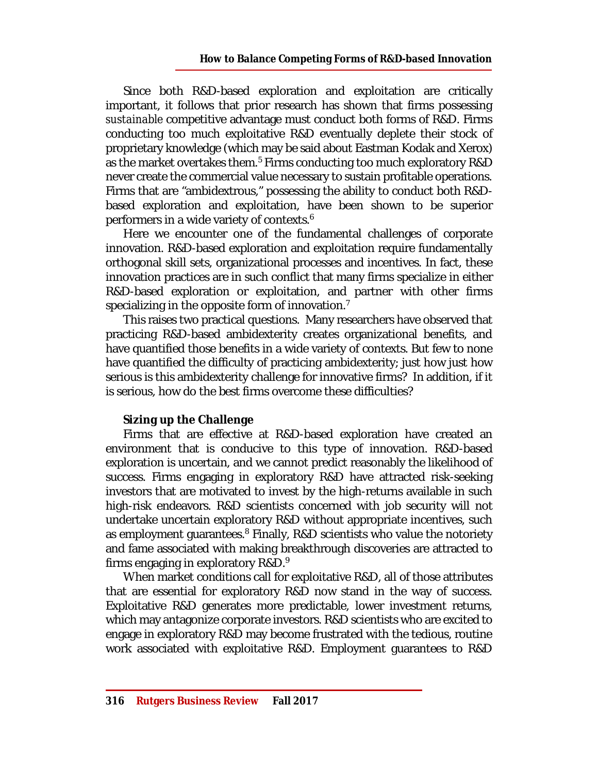Since both R&D-based exploration and exploitation are critically important, it follows that prior research has shown that firms possessing *sustainable* competitive advantage must conduct both forms of R&D. Firms conducting too much exploitative R&D eventually deplete their stock of proprietary knowledge (which may be said about Eastman Kodak and Xerox) as the market overtakes them.<sup>5</sup> Firms conducting too much exploratory R&D never create the commercial value necessary to sustain profitable operations. Firms that are "ambidextrous," possessing the ability to conduct both R&Dbased exploration and exploitation, have been shown to be superior performers in a wide variety of contexts.<sup>6</sup>

Here we encounter one of the fundamental challenges of corporate innovation. R&D-based exploration and exploitation require fundamentally orthogonal skill sets, organizational processes and incentives. In fact, these innovation practices are in such conflict that many firms specialize in either R&D-based exploration or exploitation, and partner with other firms specializing in the opposite form of innovation.<sup>7</sup>

This raises two practical questions. Many researchers have observed that practicing R&D-based ambidexterity creates organizational benefits, and have quantified those benefits in a wide variety of contexts. But few to none have quantified the difficulty of practicing ambidexterity; just how just how serious is this ambidexterity challenge for innovative firms? In addition, if it is serious, how do the best firms overcome these difficulties?

### **Sizing up the Challenge**

Firms that are effective at R&D-based exploration have created an environment that is conducive to this type of innovation. R&D-based exploration is uncertain, and we cannot predict reasonably the likelihood of success. Firms engaging in exploratory R&D have attracted risk-seeking investors that are motivated to invest by the high-returns available in such high-risk endeavors. R&D scientists concerned with job security will not undertake uncertain exploratory R&D without appropriate incentives, such as employment quarantees.<sup>8</sup> Finally, R&D scientists who value the notoriety and fame associated with making breakthrough discoveries are attracted to firms engaging in exploratory  $R&D$ .<sup>9</sup>

When market conditions call for exploitative R&D, all of those attributes that are essential for exploratory R&D now stand in the way of success. Exploitative R&D generates more predictable, lower investment returns, which may antagonize corporate investors. R&D scientists who are excited to engage in exploratory R&D may become frustrated with the tedious, routine work associated with exploitative R&D. Employment guarantees to R&D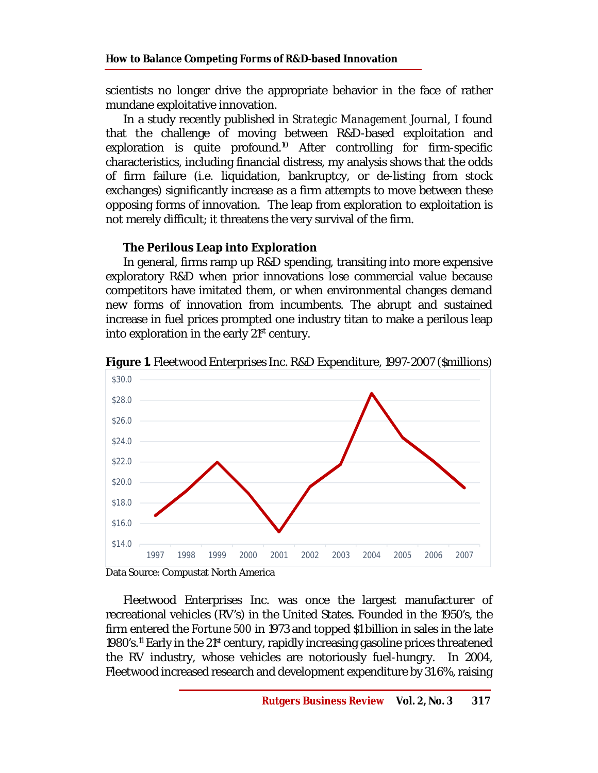scientists no longer drive the appropriate behavior in the face of rather mundane exploitative innovation.

In a study recently published in *Strategic Management Journal*, I found that the challenge of moving between R&D-based exploitation and exploration is quite profound.<sup>10</sup> After controlling for firm-specific characteristics, including financial distress, my analysis shows that the odds of firm failure (i.e. liquidation, bankruptcy, or de-listing from stock exchanges) significantly increase as a firm attempts to move between these opposing forms of innovation. The leap from exploration to exploitation is not merely difficult; it threatens the very survival of the firm.

# **The Perilous Leap into Exploration**

In general, firms ramp up R&D spending, transiting into more expensive exploratory R&D when prior innovations lose commercial value because competitors have imitated them, or when environmental changes demand new forms of innovation from incumbents. The abrupt and sustained increase in fuel prices prompted one industry titan to make a perilous leap into exploration in the early  $21<sup>st</sup>$  century.



**Figure 1.** Fleetwood Enterprises Inc. R&D Expenditure, 1997-2007 (\$millions)

Data Source: Compustat North America

Fleetwood Enterprises Inc. was once the largest manufacturer of recreational vehicles (RV's) in the United States. Founded in the 1950's, the firm entered the *Fortune 500* in 1973 and topped \$1 billion in sales in the late 1980's.<sup>11</sup> Early in the 21<sup>st</sup> century, rapidly increasing gasoline prices threatened the RV industry, whose vehicles are notoriously fuel-hungry. In 2004, Fleetwood increased research and development expenditure by 31.6%, raising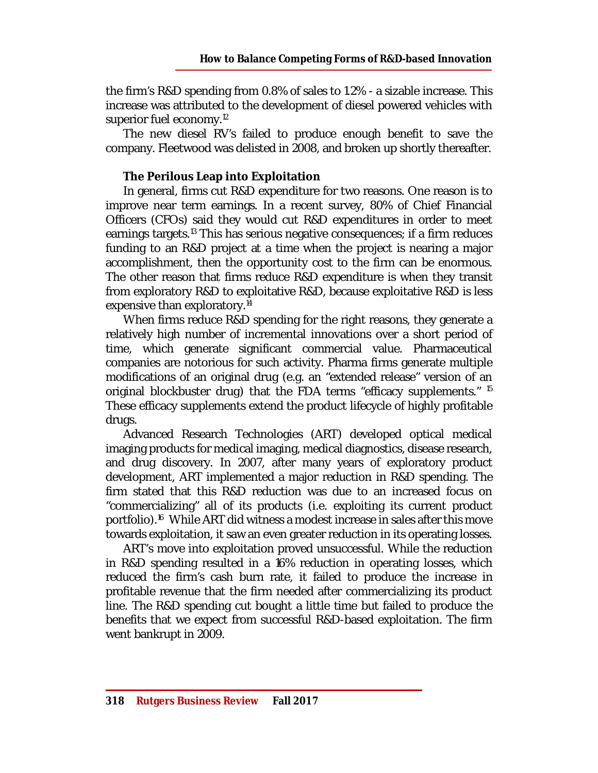the firm's R&D spending from 0.8% of sales to 1.2% - a sizable increase. This increase was attributed to the development of diesel powered vehicles with superior fuel economy.<sup>12</sup>

The new diesel RV's failed to produce enough benefit to save the company. Fleetwood was delisted in 2008, and broken up shortly thereafter.

# **The Perilous Leap into Exploitation**

In general, firms cut R&D expenditure for two reasons. One reason is to improve near term earnings. In a recent survey, 80% of Chief Financial Officers (CFOs) said they would cut R&D expenditures in order to meet earnings targets.<sup>13</sup> This has serious negative consequences; if a firm reduces funding to an R&D project at a time when the project is nearing a major accomplishment, then the opportunity cost to the firm can be enormous. The other reason that firms reduce R&D expenditure is when they transit from exploratory R&D to exploitative R&D, because exploitative R&D is less expensive than exploratory.<sup>14</sup>

When firms reduce R&D spending for the right reasons, they generate a relatively high number of incremental innovations over a short period of time, which generate significant commercial value. Pharmaceutical companies are notorious for such activity. Pharma firms generate multiple modifications of an original drug (e.g. an "extended release" version of an original blockbuster drug) that the FDA terms "efficacy supplements." <sup>15</sup> These efficacy supplements extend the product lifecycle of highly profitable drugs.

Advanced Research Technologies (ART) developed optical medical imaging products for medical imaging, medical diagnostics, disease research, and drug discovery. In 2007, after many years of exploratory product development, ART implemented a major reduction in R&D spending. The firm stated that this R&D reduction was due to an increased focus on "commercializing" all of its products (i.e. exploiting its current product portfolio).<sup>16</sup> While ART did witness a modest increase in sales after this move towards exploitation, it saw an even greater reduction in its operating losses.

ART's move into exploitation proved unsuccessful. While the reduction in R&D spending resulted in a 16% reduction in operating losses, which reduced the firm's cash burn rate, it failed to produce the increase in profitable revenue that the firm needed after commercializing its product line. The R&D spending cut bought a little time but failed to produce the benefits that we expect from successful R&D-based exploitation. The firm went bankrupt in 2009.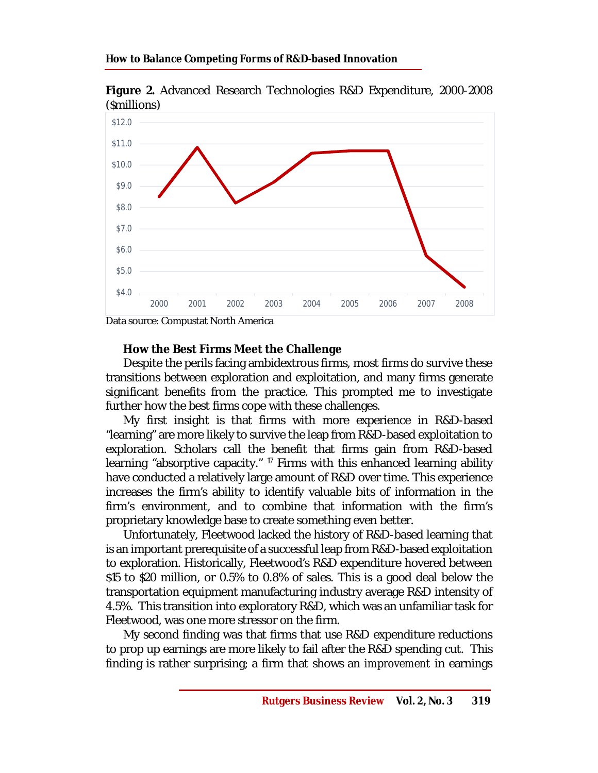

**Figure 2.** Advanced Research Technologies R&D Expenditure, 2000-2008 (\$millions)

Data source: Compustat North America

### **How the Best Firms Meet the Challenge**

Despite the perils facing ambidextrous firms, most firms do survive these transitions between exploration and exploitation, and many firms generate significant benefits from the practice. This prompted me to investigate further how the best firms cope with these challenges.

My first insight is that firms with more experience in R&D-based "learning" are more likely to survive the leap from R&D-based exploitation to exploration. Scholars call the benefit that firms gain from R&D-based learning "absorptive capacity." <sup>17</sup> Firms with this enhanced learning ability have conducted a relatively large amount of R&D over time. This experience increases the firm's ability to identify valuable bits of information in the firm's environment, and to combine that information with the firm's proprietary knowledge base to create something even better.

Unfortunately, Fleetwood lacked the history of R&D-based learning that is an important prerequisite of a successful leap from R&D-based exploitation to exploration. Historically, Fleetwood's R&D expenditure hovered between \$15 to \$20 million, or 0.5% to 0.8% of sales. This is a good deal below the transportation equipment manufacturing industry average R&D intensity of 4.5%. This transition into exploratory R&D, which was an unfamiliar task for Fleetwood, was one more stressor on the firm.

My second finding was that firms that use R&D expenditure reductions to prop up earnings are more likely to fail after the R&D spending cut. This finding is rather surprising; a firm that shows an *improvement* in earnings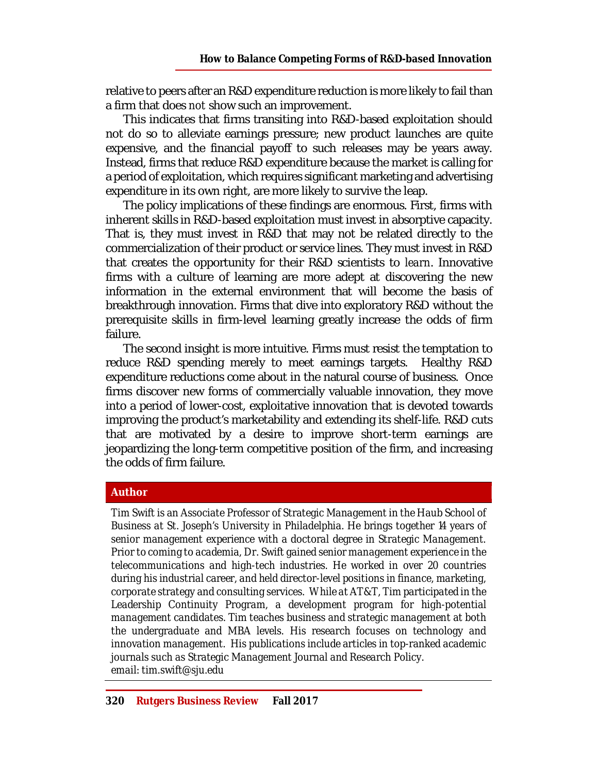relative to peers after an R&D expenditure reduction is more likely to fail than a firm that does *not* show such an improvement.

This indicates that firms transiting into R&D-based exploitation should not do so to alleviate earnings pressure; new product launches are quite expensive, and the financial payoff to such releases may be years away. Instead, firms that reduce R&D expenditure because the market is calling for a period of exploitation, which requires significant marketing and advertising expenditure in its own right, are more likely to survive the leap.

The policy implications of these findings are enormous. First, firms with inherent skills in R&D-based exploitation must invest in absorptive capacity. That is, they must invest in R&D that may not be related directly to the commercialization of their product or service lines. They must invest in R&D that creates the opportunity for their R&D scientists to *learn*. Innovative firms with a culture of learning are more adept at discovering the new information in the external environment that will become the basis of breakthrough innovation. Firms that dive into exploratory R&D without the prerequisite skills in firm-level learning greatly increase the odds of firm failure.

The second insight is more intuitive. Firms must resist the temptation to reduce R&D spending merely to meet earnings targets. Healthy R&D expenditure reductions come about in the natural course of business. Once firms discover new forms of commercially valuable innovation, they move into a period of lower-cost, exploitative innovation that is devoted towards improving the product's marketability and extending its shelf-life. R&D cuts that are motivated by a desire to improve short-term earnings are jeopardizing the long-term competitive position of the firm, and increasing the odds of firm failure.

### **Author**

*Tim Swift is an Associate Professor of Strategic Management in the Haub School of Business at St. Joseph's University in Philadelphia. He brings together 14 years of senior management experience with a doctoral degree in Strategic Management. Prior to coming to academia, Dr. Swift gained senior management experience in the telecommunications and high-tech industries. He worked in over 20 countries during his industrial career, and held director-level positions in finance, marketing, corporate strategy and consulting services. While at AT&T, Tim participated in the*  Leadership Continuity Program, a development program for high-potential *management candidates. Tim teaches business and strategic management at both the undergraduate and MBA levels. His research focuses on technology and innovation management. His publications include articles in top-ranked academic journals such as Strategic Management Journal and Research Policy. email: [tim.swift@sju.edu](mailto:tim.swift@sju.edu)*